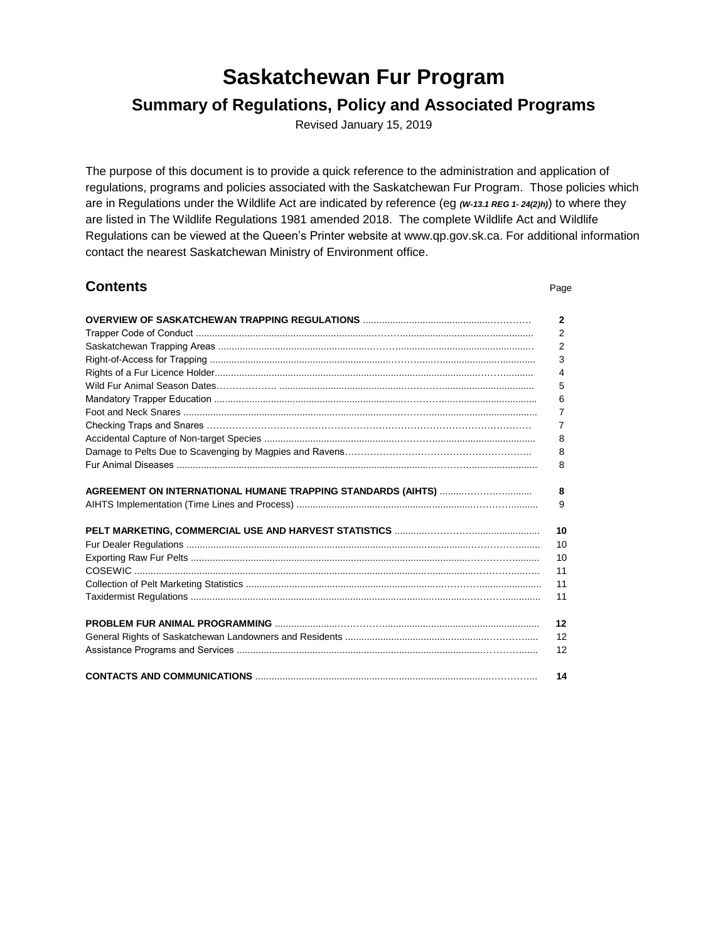# **Saskatchewan Fur Program**

# **Summary of Regulations, Policy and Associated Programs**

Revised January 15, 2019

The purpose of this document is to provide a quick reference to the administration and application of regulations, programs and policies associated with the Saskatchewan Fur Program. Those policies which are in Regulations under the Wildlife Act are indicated by reference (eg *(W-13.1 REG 1- 24(2)h)*) to where they are listed in The Wildlife Regulations 1981 amended 2018. The complete Wildlife Act and Wildlife Regulations can be viewed at the Queen's Printer website at [www.qp.gov.sk.ca.](http://www.qp.gov.sk.ca/) For additional information contact the nearest Saskatchewan Ministry of Environment office.

| <b>Contents</b> | Page           |
|-----------------|----------------|
|                 | 2              |
|                 | 2              |
|                 | $\overline{2}$ |
|                 | 3              |
|                 | 4              |
|                 | 5              |
|                 | 6              |
|                 | 7              |
|                 | 7              |
|                 | 8              |
|                 | 8              |
|                 | 8              |
|                 |                |
|                 | 8              |
|                 | 9              |
|                 | 10             |
|                 | 10             |
|                 | 10             |
|                 | 11             |
|                 | 11             |
|                 | 11             |
|                 | 12             |
|                 | 12             |
|                 | 12             |
|                 | 14             |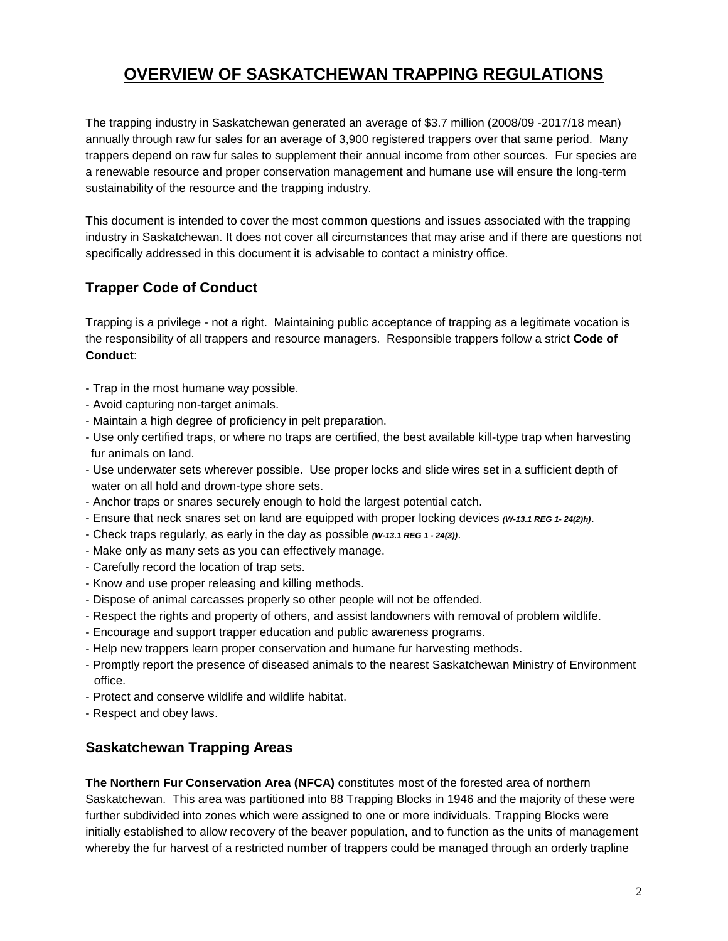# **OVERVIEW OF SASKATCHEWAN TRAPPING REGULATIONS**

The trapping industry in Saskatchewan generated an average of \$3.7 million (2008/09 -2017/18 mean) annually through raw fur sales for an average of 3,900 registered trappers over that same period. Many trappers depend on raw fur sales to supplement their annual income from other sources. Fur species are a renewable resource and proper conservation management and humane use will ensure the long-term sustainability of the resource and the trapping industry.

This document is intended to cover the most common questions and issues associated with the trapping industry in Saskatchewan. It does not cover all circumstances that may arise and if there are questions not specifically addressed in this document it is advisable to contact a ministry office.

## **Trapper Code of Conduct**

Trapping is a privilege - not a right. Maintaining public acceptance of trapping as a legitimate vocation is the responsibility of all trappers and resource managers. Responsible trappers follow a strict **Code of Conduct**:

- Trap in the most humane way possible.
- Avoid capturing non-target animals.
- Maintain a high degree of proficiency in pelt preparation.
- Use only certified traps, or where no traps are certified, the best available kill-type trap when harvesting fur animals on land.
- Use underwater sets wherever possible. Use proper locks and slide wires set in a sufficient depth of water on all hold and drown-type shore sets.
- Anchor traps or snares securely enough to hold the largest potential catch.
- Ensure that neck snares set on land are equipped with proper locking devices *(W-13.1 REG 1- 24(2)h)*.
- Check traps regularly, as early in the day as possible *(W-13.1 REG 1 - 24(3))*.
- Make only as many sets as you can effectively manage.
- Carefully record the location of trap sets.
- Know and use proper releasing and killing methods.
- Dispose of animal carcasses properly so other people will not be offended.
- Respect the rights and property of others, and assist landowners with removal of problem wildlife.
- Encourage and support trapper education and public awareness programs.
- Help new trappers learn proper conservation and humane fur harvesting methods.
- Promptly report the presence of diseased animals to the nearest Saskatchewan Ministry of Environment office.
- Protect and conserve wildlife and wildlife habitat.
- Respect and obey laws.

## **Saskatchewan Trapping Areas**

**The Northern Fur Conservation Area (NFCA)** constitutes most of the forested area of northern Saskatchewan. This area was partitioned into 88 Trapping Blocks in 1946 and the majority of these were further subdivided into zones which were assigned to one or more individuals. Trapping Blocks were initially established to allow recovery of the beaver population, and to function as the units of management whereby the fur harvest of a restricted number of trappers could be managed through an orderly trapline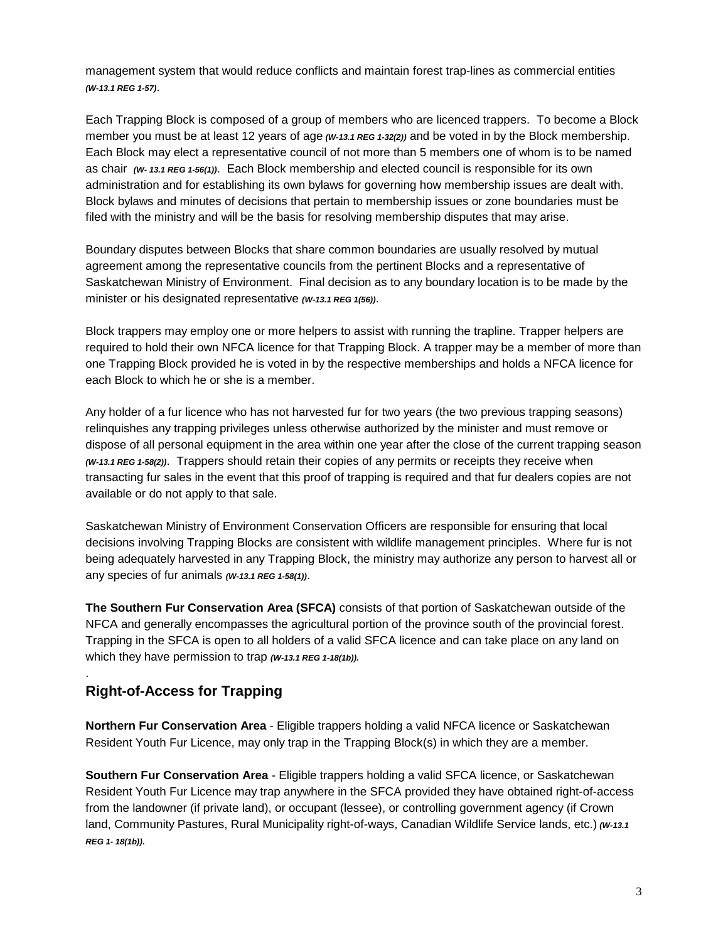management system that would reduce conflicts and maintain forest trap-lines as commercial entities *(W-13.1 REG 1-57)*.

Each Trapping Block is composed of a group of members who are licenced trappers. To become a Block member you must be at least 12 years of age *(w-13.1 REG 1-32(2))* and be voted in by the Block membership. Each Block may elect a representative council of not more than 5 members one of whom is to be named as chair *(W- 13.1 REG 1-56(1))*. Each Block membership and elected council is responsible for its own administration and for establishing its own bylaws for governing how membership issues are dealt with. Block bylaws and minutes of decisions that pertain to membership issues or zone boundaries must be filed with the ministry and will be the basis for resolving membership disputes that may arise.

Boundary disputes between Blocks that share common boundaries are usually resolved by mutual agreement among the representative councils from the pertinent Blocks and a representative of Saskatchewan Ministry of Environment. Final decision as to any boundary location is to be made by the minister or his designated representative *(W-13.1 REG 1(56))*.

Block trappers may employ one or more helpers to assist with running the trapline. Trapper helpers are required to hold their own NFCA licence for that Trapping Block. A trapper may be a member of more than one Trapping Block provided he is voted in by the respective memberships and holds a NFCA licence for each Block to which he or she is a member.

Any holder of a fur licence who has not harvested fur for two years (the two previous trapping seasons) relinquishes any trapping privileges unless otherwise authorized by the minister and must remove or dispose of all personal equipment in the area within one year after the close of the current trapping season *(W-13.1 REG 1-58(2))*. Trappers should retain their copies of any permits or receipts they receive when transacting fur sales in the event that this proof of trapping is required and that fur dealers copies are not available or do not apply to that sale.

Saskatchewan Ministry of Environment Conservation Officers are responsible for ensuring that local decisions involving Trapping Blocks are consistent with wildlife management principles. Where fur is not being adequately harvested in any Trapping Block, the ministry may authorize any person to harvest all or any species of fur animals *(W-13.1 REG 1-58(1))*.

**The Southern Fur Conservation Area (SFCA)** consists of that portion of Saskatchewan outside of the NFCA and generally encompasses the agricultural portion of the province south of the provincial forest. Trapping in the SFCA is open to all holders of a valid SFCA licence and can take place on any land on which they have permission to trap *(W-13.1 REG 1-18(1b)).*

# **Right-of-Access for Trapping**

.

**Northern Fur Conservation Area** - Eligible trappers holding a valid NFCA licence or Saskatchewan Resident Youth Fur Licence, may only trap in the Trapping Block(s) in which they are a member.

**Southern Fur Conservation Area** - Eligible trappers holding a valid SFCA licence, or Saskatchewan Resident Youth Fur Licence may trap anywhere in the SFCA provided they have obtained right-of-access from the landowner (if private land), or occupant (lessee), or controlling government agency (if Crown land, Community Pastures, Rural Municipality right-of-ways, Canadian Wildlife Service lands, etc.) *(W-13.1 REG 1- 18(1b)).*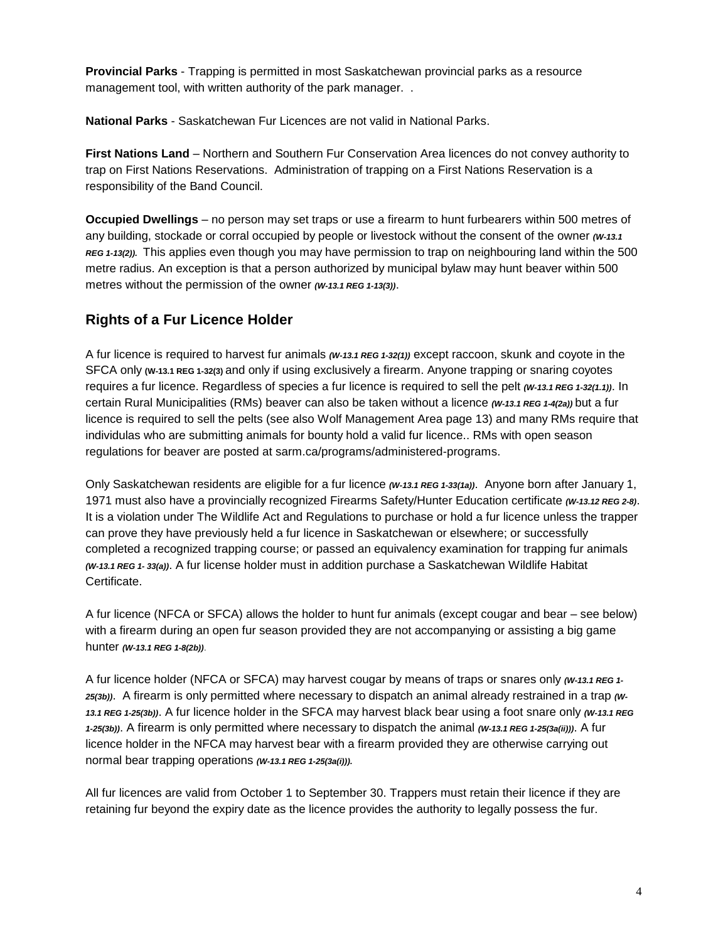**Provincial Parks** - Trapping is permitted in most Saskatchewan provincial parks as a resource management tool, with written authority of the park manager. .

**National Parks** - Saskatchewan Fur Licences are not valid in National Parks.

**First Nations Land** – Northern and Southern Fur Conservation Area licences do not convey authority to trap on First Nations Reservations. Administration of trapping on a First Nations Reservation is a responsibility of the Band Council.

**Occupied Dwellings** – no person may set traps or use a firearm to hunt furbearers within 500 metres of any building, stockade or corral occupied by people or livestock without the consent of the owner *(W-13.1 REG 1-13(2)).* This applies even though you may have permission to trap on neighbouring land within the 500 metre radius. An exception is that a person authorized by municipal bylaw may hunt beaver within 500 metres without the permission of the owner *(W-13.1 REG 1-13(3))*.

# **Rights of a Fur Licence Holder**

A fur licence is required to harvest fur animals *(W-13.1 REG 1-32(1))* except raccoon, skunk and coyote in the SFCA only **(W-13.1 REG 1-32(3)** and only if using exclusively a firearm. Anyone trapping or snaring coyotes requires a fur licence. Regardless of species a fur licence is required to sell the pelt *(W-13.1 REG 1-32(1.1))*. In certain Rural Municipalities (RMs) beaver can also be taken without a licence *(W-13.1 REG 1-4(2a))* but a fur licence is required to sell the pelts (see also Wolf Management Area page 13) and many RMs require that individulas who are submitting animals for bounty hold a valid fur licence.. RMs with open season regulations for beaver are posted at [sarm.ca/programs/administered-programs.](https://sarm.ca/programs/administered-programs)

Only Saskatchewan residents are eligible for a fur licence *(W-13.1 REG 1-33(1a))*. Anyone born after January 1, 1971 must also have a provincially recognized Firearms Safety/Hunter Education certificate *(W-13.12 REG 2-8)*. It is a violation under The Wildlife Act and Regulations to purchase or hold a fur licence unless the trapper can prove they have previously held a fur licence in Saskatchewan or elsewhere; or successfully completed a recognized trapping course; or passed an equivalency examination for trapping fur animals *(W-13.1 REG 1- 33(a))*. A fur license holder must in addition purchase a Saskatchewan Wildlife Habitat Certificate.

A fur licence (NFCA or SFCA) allows the holder to hunt fur animals (except cougar and bear – see below) with a firearm during an open fur season provided they are not accompanying or assisting a big game hunter *(W-13.1 REG 1-8(2b))*.

A fur licence holder (NFCA or SFCA) may harvest cougar by means of traps or snares only *(W-13.1 REG 1- 25(3b))*. A firearm is only permitted where necessary to dispatch an animal already restrained in a trap *(W-13.1 REG 1-25(3b))*. A fur licence holder in the SFCA may harvest black bear using a foot snare only *(W-13.1 REG 1-25(3b))*. A firearm is only permitted where necessary to dispatch the animal *(W-13.1 REG 1-25(3a(ii)))*. A fur licence holder in the NFCA may harvest bear with a firearm provided they are otherwise carrying out normal bear trapping operations *(W-13.1 REG 1-25(3a(i))).*

All fur licences are valid from October 1 to September 30. Trappers must retain their licence if they are retaining fur beyond the expiry date as the licence provides the authority to legally possess the fur.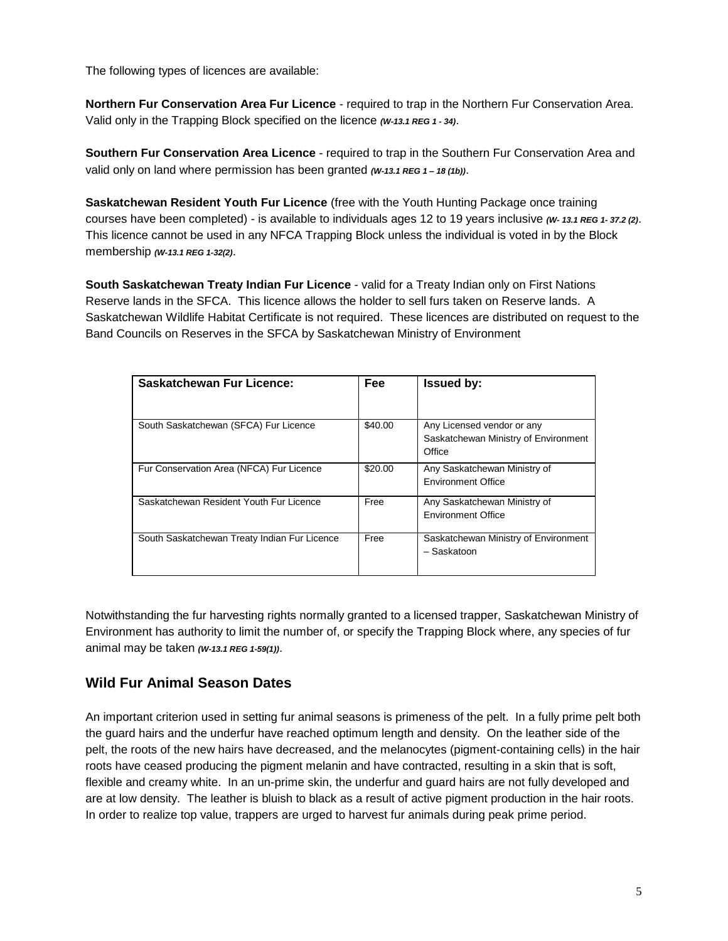The following types of licences are available:

**Northern Fur Conservation Area Fur Licence** - required to trap in the Northern Fur Conservation Area. Valid only in the Trapping Block specified on the licence *(W-13.1 REG 1 - 34)*.

**Southern Fur Conservation Area Licence** - required to trap in the Southern Fur Conservation Area and valid only on land where permission has been granted *(W-13.1 REG 1 – <sup>18</sup> (1b))*.

**Saskatchewan Resident Youth Fur Licence** (free with the Youth Hunting Package once training courses have been completed) - is available to individuals ages 12 to 19 years inclusive *(W- 13.1 REG 1- 37.2 (2)*. This licence cannot be used in any NFCA Trapping Block unless the individual is voted in by the Block membership *(W-13.1 REG 1-32(2)*.

**South Saskatchewan Treaty Indian Fur Licence** - valid for a Treaty Indian only on First Nations Reserve lands in the SFCA. This licence allows the holder to sell furs taken on Reserve lands. A Saskatchewan Wildlife Habitat Certificate is not required. These licences are distributed on request to the Band Councils on Reserves in the SFCA by Saskatchewan Ministry of Environment

| <b>Saskatchewan Fur Licence:</b>             | <b>Fee</b> | <b>Issued by:</b>                                                            |
|----------------------------------------------|------------|------------------------------------------------------------------------------|
| South Saskatchewan (SFCA) Fur Licence        | \$40.00    | Any Licensed vendor or any<br>Saskatchewan Ministry of Environment<br>Office |
| Fur Conservation Area (NFCA) Fur Licence     | \$20.00    | Any Saskatchewan Ministry of<br><b>Environment Office</b>                    |
| Saskatchewan Resident Youth Fur Licence      | Free       | Any Saskatchewan Ministry of<br><b>Environment Office</b>                    |
| South Saskatchewan Treaty Indian Fur Licence | Free       | Saskatchewan Ministry of Environment<br>- Saskatoon                          |

Notwithstanding the fur harvesting rights normally granted to a licensed trapper, Saskatchewan Ministry of Environment has authority to limit the number of, or specify the Trapping Block where, any species of fur animal may be taken *(W-13.1 REG 1-59(1))*.

### **Wild Fur Animal Season Dates**

An important criterion used in setting fur animal seasons is primeness of the pelt. In a fully prime pelt both the guard hairs and the underfur have reached optimum length and density. On the leather side of the pelt, the roots of the new hairs have decreased, and the melanocytes (pigment-containing cells) in the hair roots have ceased producing the pigment melanin and have contracted, resulting in a skin that is soft, flexible and creamy white. In an un-prime skin, the underfur and guard hairs are not fully developed and are at low density. The leather is bluish to black as a result of active pigment production in the hair roots. In order to realize top value, trappers are urged to harvest fur animals during peak prime period.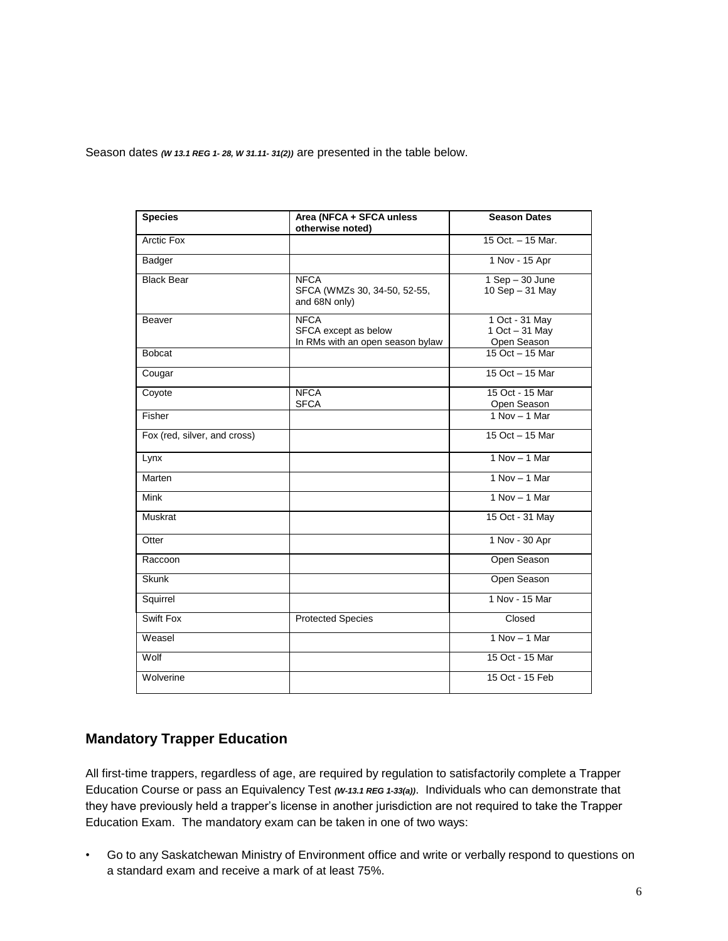Season dates *(W 13.1 REG 1- 28, W 31.11- 31(2))* are presented in the table below.

| <b>Species</b>               | Area (NFCA + SFCA unless<br>otherwise noted)                            | <b>Season Dates</b>                             |
|------------------------------|-------------------------------------------------------------------------|-------------------------------------------------|
| Arctic Fox                   |                                                                         | 15 Oct. - 15 Mar.                               |
| Badger                       |                                                                         | 1 Nov - 15 Apr                                  |
| <b>Black Bear</b>            | <b>NFCA</b><br>SFCA (WMZs 30, 34-50, 52-55,<br>and 68N only)            | $1$ Sep $-$ 30 June<br>10 Sep - 31 May          |
| Beaver                       | <b>NFCA</b><br>SFCA except as below<br>In RMs with an open season bylaw | 1 Oct - 31 May<br>1 Oct - 31 May<br>Open Season |
| <b>Bobcat</b>                |                                                                         | 15 Oct - 15 Mar                                 |
| Cougar                       |                                                                         | 15 Oct - 15 Mar                                 |
| Coyote                       | <b>NFCA</b><br><b>SFCA</b>                                              | 15 Oct - 15 Mar<br>Open Season                  |
| Fisher                       |                                                                         | $1$ Nov $-$ 1 Mar                               |
| Fox (red, silver, and cross) |                                                                         | 15 Oct - 15 Mar                                 |
| Lynx                         |                                                                         | $1 Nov - 1 Mar$                                 |
| Marten                       |                                                                         | $1 Nov - 1 Mar$                                 |
| Mink                         |                                                                         | $1 Nov - 1 Mar$                                 |
| <b>Muskrat</b>               |                                                                         | 15 Oct - 31 May                                 |
| Otter                        |                                                                         | 1 Nov - 30 Apr                                  |
| Raccoon                      |                                                                         | Open Season                                     |
| <b>Skunk</b>                 |                                                                         | Open Season                                     |
| Squirrel                     |                                                                         | 1 Nov - 15 Mar                                  |
| Swift Fox                    | <b>Protected Species</b>                                                | Closed                                          |
| Weasel                       |                                                                         | $1 Nov - 1 Mar$                                 |
| Wolf                         |                                                                         | 15 Oct - 15 Mar                                 |
| Wolverine                    |                                                                         | 15 Oct - 15 Feb                                 |

### **Mandatory Trapper Education**

All first-time trappers, regardless of age, are required by regulation to satisfactorily complete a Trapper Education Course or pass an Equivalency Test *(W-13.1 REG 1-33(a))*. Individuals who can demonstrate that they have previously held a trapper's license in another jurisdiction are not required to take the Trapper Education Exam. The mandatory exam can be taken in one of two ways:

• Go to any Saskatchewan Ministry of Environment office and write or verbally respond to questions on a standard exam and receive a mark of at least 75%.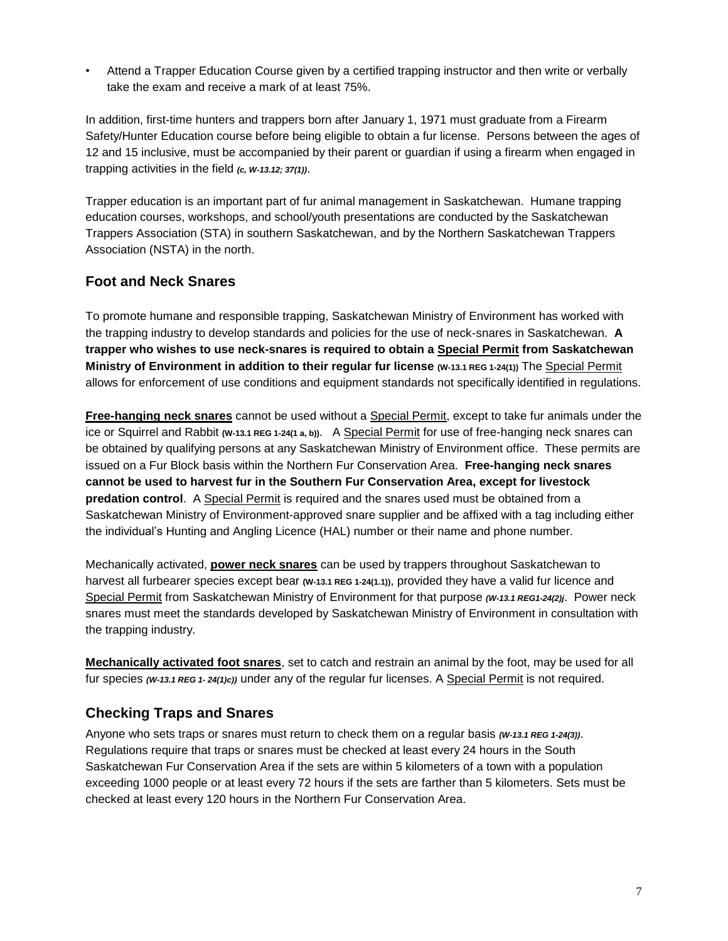• Attend a Trapper Education Course given by a certified trapping instructor and then write or verbally take the exam and receive a mark of at least 75%.

In addition, first-time hunters and trappers born after January 1, 1971 must graduate from a Firearm Safety/Hunter Education course before being eligible to obtain a fur license. Persons between the ages of 12 and 15 inclusive, must be accompanied by their parent or guardian if using a firearm when engaged in trapping activities in the field *(c, W-13.12; 37(1))*.

Trapper education is an important part of fur animal management in Saskatchewan. Humane trapping education courses, workshops, and school/youth presentations are conducted by the Saskatchewan Trappers Association (STA) in southern Saskatchewan, and by the Northern Saskatchewan Trappers Association (NSTA) in the north.

### **Foot and Neck Snares**

To promote humane and responsible trapping, Saskatchewan Ministry of Environment has worked with the trapping industry to develop standards and policies for the use of neck-snares in Saskatchewan. **A trapper who wishes to use neck-snares is required to obtain a Special Permit from Saskatchewan Ministry of Environment in addition to their regular fur license (W-13.1 REG 1-24(1))** The Special Permit allows for enforcement of use conditions and equipment standards not specifically identified in regulations.

**Free-hanging neck snares** cannot be used without a Special Permit, except to take fur animals under the ice or Squirrel and Rabbit **(W-13.1 REG 1-24(1 a, b))**. A Special Permit for use of free-hanging neck snares can be obtained by qualifying persons at any Saskatchewan Ministry of Environment office. These permits are issued on a Fur Block basis within the Northern Fur Conservation Area. **Free-hanging neck snares cannot be used to harvest fur in the Southern Fur Conservation Area, except for livestock predation control**. A Special Permit is required and the snares used must be obtained from a Saskatchewan Ministry of Environment-approved snare supplier and be affixed with a tag including either the individual's Hunting and Angling Licence (HAL) number or their name and phone number.

Mechanically activated, **power neck snares** can be used by trappers throughout Saskatchewan to harvest all furbearer species except bear **(W-13.1 REG 1-24(1.1))**, provided they have a valid fur licence and Special Permit from Saskatchewan Ministry of Environment for that purpose *(W-13.1 REG1-24(2)j*. Power neck snares must meet the standards developed by Saskatchewan Ministry of Environment in consultation with the trapping industry.

**Mechanically activated foot snares**, set to catch and restrain an animal by the foot, may be used for all fur species *(W-13.1 REG 1- 24(1)c))* under any of the regular fur licenses. A Special Permit is not required.

## **Checking Traps and Snares**

Anyone who sets traps or snares must return to check them on a regular basis *(W-13.1 REG 1-24(3))*. Regulations require that traps or snares must be checked at least every 24 hours in the South Saskatchewan Fur Conservation Area if the sets are within 5 kilometers of a town with a population exceeding 1000 people or at least every 72 hours if the sets are farther than 5 kilometers. Sets must be checked at least every 120 hours in the Northern Fur Conservation Area.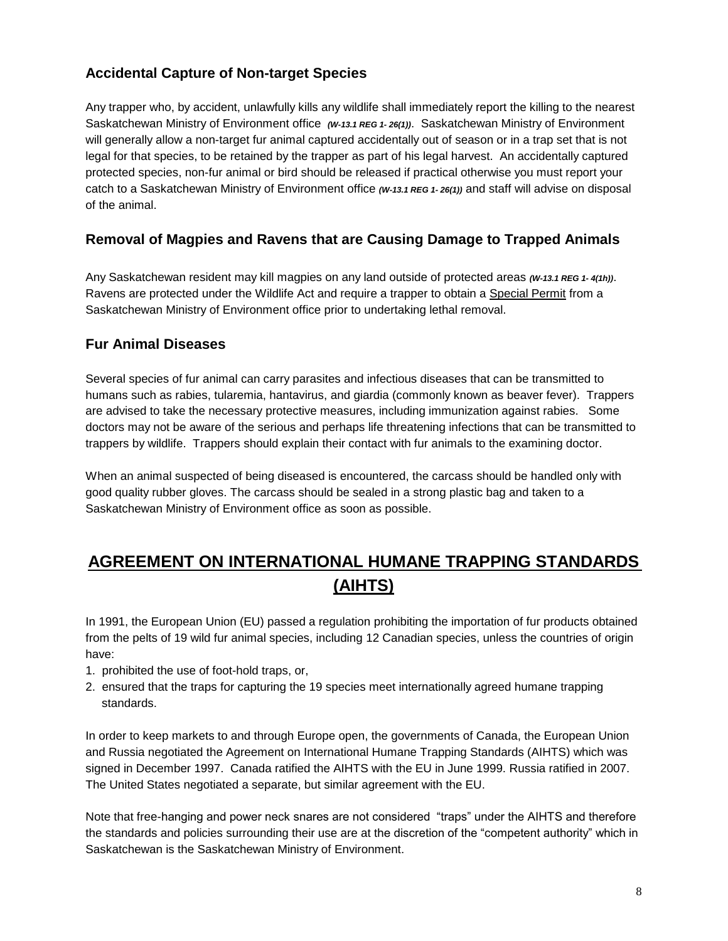## **Accidental Capture of Non-target Species**

Any trapper who, by accident, unlawfully kills any wildlife shall immediately report the killing to the nearest Saskatchewan Ministry of Environment office *(W-13.1 REG 1- 26(1))*. Saskatchewan Ministry of Environment will generally allow a non-target fur animal captured accidentally out of season or in a trap set that is not legal for that species, to be retained by the trapper as part of his legal harvest. An accidentally captured protected species, non-fur animal or bird should be released if practical otherwise you must report your catch to a Saskatchewan Ministry of Environment office *(W-13.1 REG 1- 26(1))* and staff will advise on disposal of the animal.

### **Removal of Magpies and Ravens that are Causing Damage to Trapped Animals**

Any Saskatchewan resident may kill magpies on any land outside of protected areas *(W-13.1 REG 1- 4(1h))*. Ravens are protected under the Wildlife Act and require a trapper to obtain a Special Permit from a Saskatchewan Ministry of Environment office prior to undertaking lethal removal.

### **Fur Animal Diseases**

Several species of fur animal can carry parasites and infectious diseases that can be transmitted to humans such as rabies, tularemia, hantavirus, and giardia (commonly known as beaver fever). Trappers are advised to take the necessary protective measures, including immunization against rabies. Some doctors may not be aware of the serious and perhaps life threatening infections that can be transmitted to trappers by wildlife. Trappers should explain their contact with fur animals to the examining doctor.

When an animal suspected of being diseased is encountered, the carcass should be handled only with good quality rubber gloves. The carcass should be sealed in a strong plastic bag and taken to a Saskatchewan Ministry of Environment office as soon as possible.

# **AGREEMENT ON INTERNATIONAL HUMANE TRAPPING STANDARDS (AIHTS)**

In 1991, the European Union (EU) passed a regulation prohibiting the importation of fur products obtained from the pelts of 19 wild fur animal species, including 12 Canadian species, unless the countries of origin have:

- 1. prohibited the use of foot-hold traps, or,
- 2. ensured that the traps for capturing the 19 species meet internationally agreed humane trapping standards.

In order to keep markets to and through Europe open, the governments of Canada, the European Union and Russia negotiated the Agreement on International Humane Trapping Standards (AIHTS) which was signed in December 1997. Canada ratified the AIHTS with the EU in June 1999. Russia ratified in 2007. The United States negotiated a separate, but similar agreement with the EU.

Note that free-hanging and power neck snares are not considered "traps" under the AIHTS and therefore the standards and policies surrounding their use are at the discretion of the "competent authority" which in Saskatchewan is the Saskatchewan Ministry of Environment.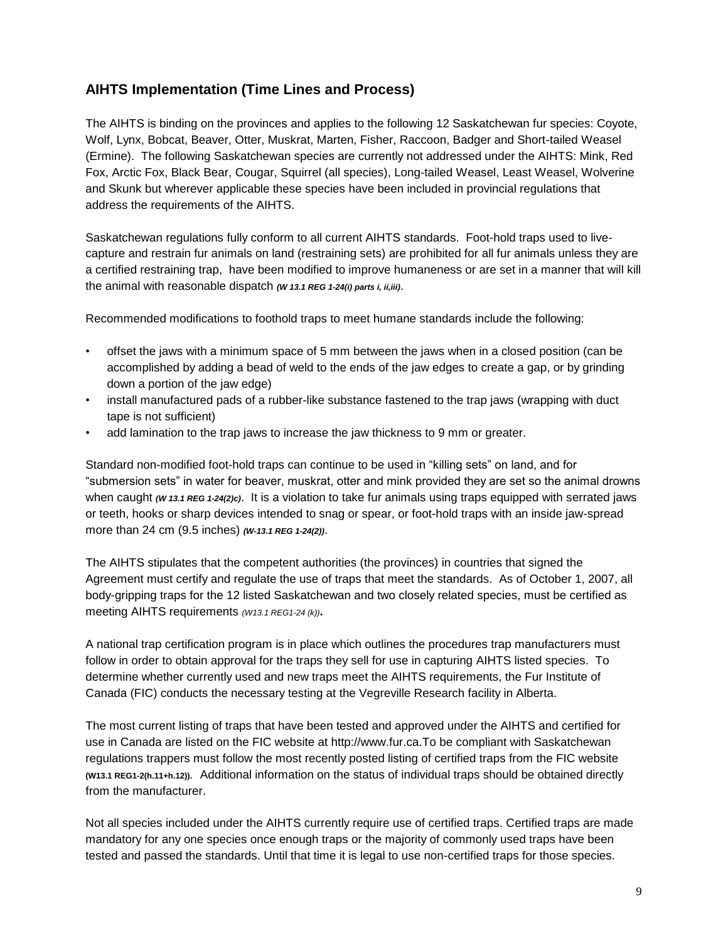### **AIHTS Implementation (Time Lines and Process)**

The AIHTS is binding on the provinces and applies to the following 12 Saskatchewan fur species: Coyote, Wolf, Lynx, Bobcat, Beaver, Otter, Muskrat, Marten, Fisher, Raccoon, Badger and Short-tailed Weasel (Ermine). The following Saskatchewan species are currently not addressed under the AIHTS: Mink, Red Fox, Arctic Fox, Black Bear, Cougar, Squirrel (all species), Long-tailed Weasel, Least Weasel, Wolverine and Skunk but wherever applicable these species have been included in provincial regulations that address the requirements of the AIHTS.

Saskatchewan regulations fully conform to all current AIHTS standards. Foot-hold traps used to livecapture and restrain fur animals on land (restraining sets) are prohibited for all fur animals unless they are a certified restraining trap, have been modified to improve humaneness or are set in a manner that will kill the animal with reasonable dispatch *(W 13.1 REG 1-24(i) parts i, ii,iii)*.

Recommended modifications to foothold traps to meet humane standards include the following:

- offset the jaws with a minimum space of 5 mm between the jaws when in a closed position (can be accomplished by adding a bead of weld to the ends of the jaw edges to create a gap, or by grinding down a portion of the jaw edge)
- install manufactured pads of a rubber-like substance fastened to the trap jaws (wrapping with duct tape is not sufficient)
- add lamination to the trap jaws to increase the jaw thickness to 9 mm or greater.

Standard non-modified foot-hold traps can continue to be used in "killing sets" on land, and for "submersion sets" in water for beaver, muskrat, otter and mink provided they are set so the animal drowns when caught *(W 13.1 REG 1-24(2)c)*. It is a violation to take fur animals using traps equipped with serrated jaws or teeth, hooks or sharp devices intended to snag or spear, or foot-hold traps with an inside jaw-spread more than 24 cm (9.5 inches) *(W-13.1 REG 1-24(2))*.

The AIHTS stipulates that the competent authorities (the provinces) in countries that signed the Agreement must certify and regulate the use of traps that meet the standards. As of October 1, 2007, all body-gripping traps for the 12 listed Saskatchewan and two closely related species, must be certified as meeting AIHTS requirements *(W13.1 REG1-24 (k))***.** 

A national trap certification program is in place which outlines the procedures trap manufacturers must follow in order to obtain approval for the traps they sell for use in capturing AIHTS listed species. To determine whether currently used and new traps meet the AIHTS requirements, the Fur Institute of Canada (FIC) conducts the necessary testing at the Vegreville Research facility in Alberta.

The most current listing of traps that have been tested and approved under the AIHTS and certified for use in Canada are listed on the FIC website at [http://www.fur.ca.T](http://www.fur.ca./)o be compliant with Saskatchewan regulations trappers must follow the most recently posted listing of certified traps from the FIC website **(W13.1 REG1-2(h.11+h.12)).**Additional information on the status of individual traps should be obtained directly from the manufacturer.

Not all species included under the AIHTS currently require use of certified traps. Certified traps are made mandatory for any one species once enough traps or the majority of commonly used traps have been tested and passed the standards. Until that time it is legal to use non-certified traps for those species.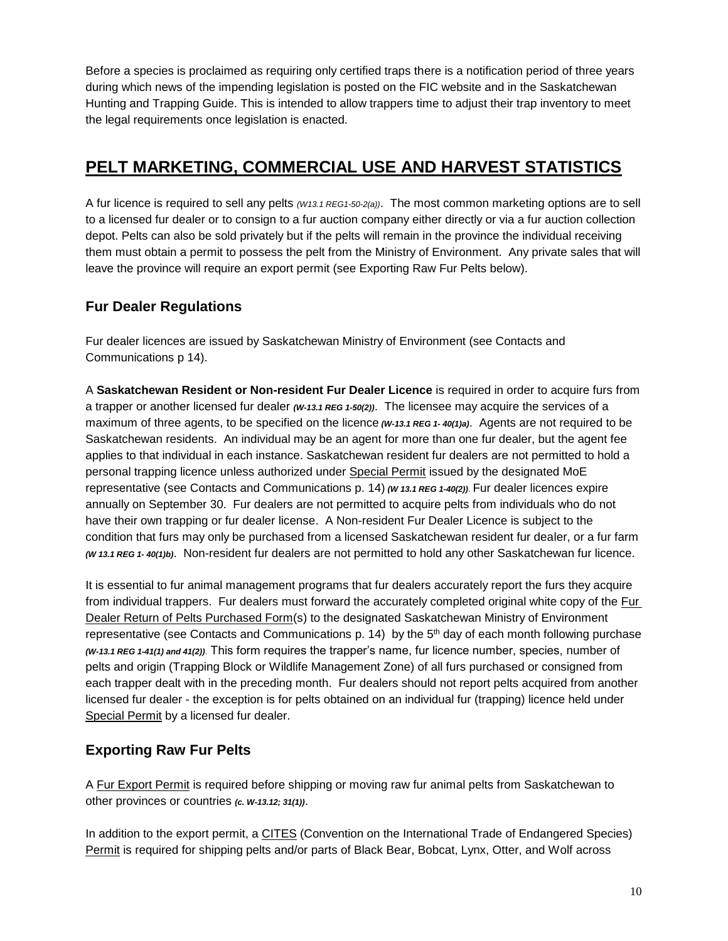Before a species is proclaimed as requiring only certified traps there is a notification period of three years during which news of the impending legislation is posted on the FIC website and in the Saskatchewan Hunting and Trapping Guide. This is intended to allow trappers time to adjust their trap inventory to meet the legal requirements once legislation is enacted.

# **PELT MARKETING, COMMERCIAL USE AND HARVEST STATISTICS**

A fur licence is required to sell any pelts *(W13.1 REG1-50-2(a))*. The most common marketing options are to sell to a licensed fur dealer or to consign to a fur auction company either directly or via a fur auction collection depot. Pelts can also be sold privately but if the pelts will remain in the province the individual receiving them must obtain a permit to possess the pelt from the Ministry of Environment. Any private sales that will leave the province will require an export permit (see Exporting Raw Fur Pelts below).

## **Fur Dealer Regulations**

Fur dealer licences are issued by Saskatchewan Ministry of Environment (see Contacts and Communications p 14).

A **Saskatchewan Resident or Non-resident Fur Dealer Licence** is required in order to acquire furs from a trapper or another licensed fur dealer *(W-13.1 REG 1-50(2))*. The licensee may acquire the services of a maximum of three agents, to be specified on the licence *(W-13.1 REG 1- 40(1)a)*. Agents are not required to be Saskatchewan residents. An individual may be an agent for more than one fur dealer, but the agent fee applies to that individual in each instance. Saskatchewan resident fur dealers are not permitted to hold a personal trapping licence unless authorized under Special Permit issued by the designated MoE representative (see Contacts and Communications p. 14) *(W 13.1 REG 1-40(2))*. Fur dealer licences expire annually on September 30. Fur dealers are not permitted to acquire pelts from individuals who do not have their own trapping or fur dealer license. A Non-resident Fur Dealer Licence is subject to the condition that furs may only be purchased from a licensed Saskatchewan resident fur dealer, or a fur farm *(W 13.1 REG 1- 40(1)b)*. Non-resident fur dealers are not permitted to hold any other Saskatchewan fur licence.

It is essential to fur animal management programs that fur dealers accurately report the furs they acquire from individual trappers. Fur dealers must forward the accurately completed original white copy of the Fur Dealer Return of Pelts Purchased Form(s) to the designated Saskatchewan Ministry of Environment representative (see Contacts and Communications  $p. 14$ ) by the  $5<sup>th</sup>$  day of each month following purchase *(W-13.1 REG 1-41(1) and 41(2))*. This form requires the trapper's name, fur licence number, species, number of pelts and origin (Trapping Block or Wildlife Management Zone) of all furs purchased or consigned from each trapper dealt with in the preceding month. Fur dealers should not report pelts acquired from another licensed fur dealer - the exception is for pelts obtained on an individual fur (trapping) licence held under Special Permit by a licensed fur dealer.

## **Exporting Raw Fur Pelts**

A Fur Export Permit is required before shipping or moving raw fur animal pelts from Saskatchewan to other provinces or countries *(c. W-13.12; 31(1))*.

In addition to the export permit, a CITES (Convention on the International Trade of Endangered Species) Permit is required for shipping pelts and/or parts of Black Bear, Bobcat, Lynx, Otter, and Wolf across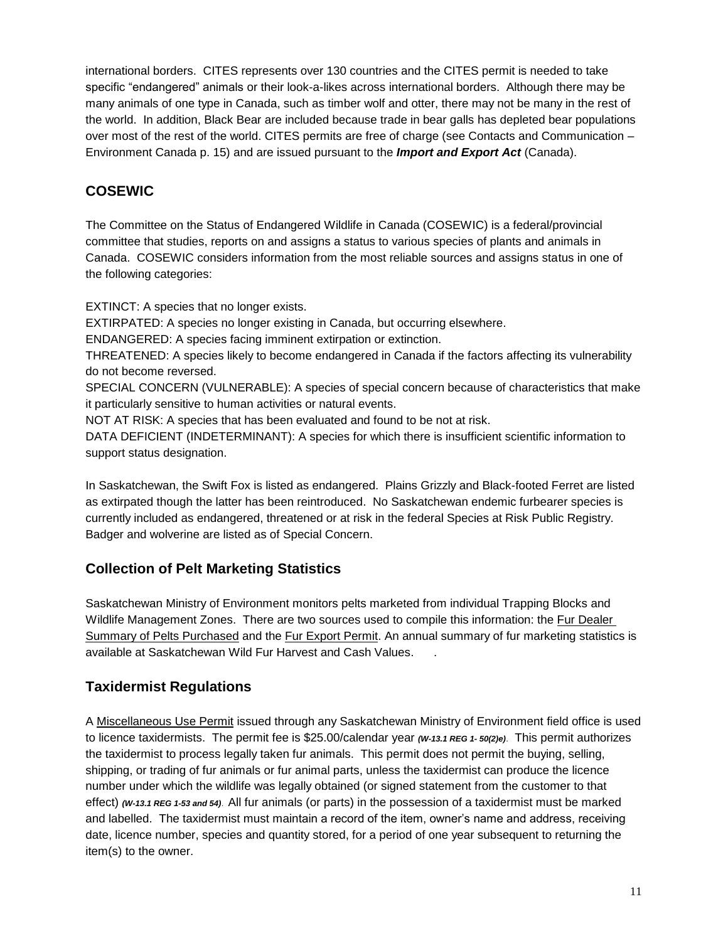international borders. CITES represents over 130 countries and the CITES permit is needed to take specific "endangered" animals or their look-a-likes across international borders. Although there may be many animals of one type in Canada, such as timber wolf and otter, there may not be many in the rest of the world. In addition, Black Bear are included because trade in bear galls has depleted bear populations over most of the rest of the world. CITES permits are free of charge (see Contacts and Communication – Environment Canada p. 15) and are issued pursuant to the *Import and Export Act* (Canada).

# **COSEWIC**

The Committee on the Status of Endangered Wildlife in Canada (COSEWIC) is a federal/provincial committee that studies, reports on and assigns a status to various species of plants and animals in Canada. COSEWIC considers information from the most reliable sources and assigns status in one of the following categories:

EXTINCT: A species that no longer exists.

EXTIRPATED: A species no longer existing in Canada, but occurring elsewhere.

ENDANGERED: A species facing imminent extirpation or extinction.

THREATENED: A species likely to become endangered in Canada if the factors affecting its vulnerability do not become reversed.

SPECIAL CONCERN (VULNERABLE): A species of special concern because of characteristics that make it particularly sensitive to human activities or natural events.

NOT AT RISK: A species that has been evaluated and found to be not at risk.

DATA DEFICIENT (INDETERMINANT): A species for which there is insufficient scientific information to support status designation.

In Saskatchewan, the Swift Fox is listed as endangered. Plains Grizzly and Black-footed Ferret are listed as extirpated though the latter has been reintroduced. No Saskatchewan endemic furbearer species is currently included as endangered, threatened or at risk in the federal Species at Risk Public Registry. Badger and wolverine are listed as of Special Concern.

# **Collection of Pelt Marketing Statistics**

Saskatchewan Ministry of Environment monitors pelts marketed from individual Trapping Blocks and Wildlife Management Zones. There are two sources used to compile this information: the Fur Dealer Summary of Pelts Purchased and the Fur Export Permit. An annual summary of fur marketing statistics is available at [Saskatchewan Wild Fur Harvest and Cash Values.](http://publications.gov.sk.ca/documents/66/76576-16_17_SASKWILD_FUR_HARVEST_CASH_VALUES.pdf) .

# **Taxidermist Regulations**

A Miscellaneous Use Permit issued through any Saskatchewan Ministry of Environment field office is used to licence taxidermists. The permit fee is \$25.00/calendar year *(W-13.1 REG 1- 50(2)e)*. This permit authorizes the taxidermist to process legally taken fur animals. This permit does not permit the buying, selling, shipping, or trading of fur animals or fur animal parts, unless the taxidermist can produce the licence number under which the wildlife was legally obtained (or signed statement from the customer to that effect) *(W-13.1 REG 1-53 and 54)*. All fur animals (or parts) in the possession of a taxidermist must be marked and labelled. The taxidermist must maintain a record of the item, owner's name and address, receiving date, licence number, species and quantity stored, for a period of one year subsequent to returning the item(s) to the owner.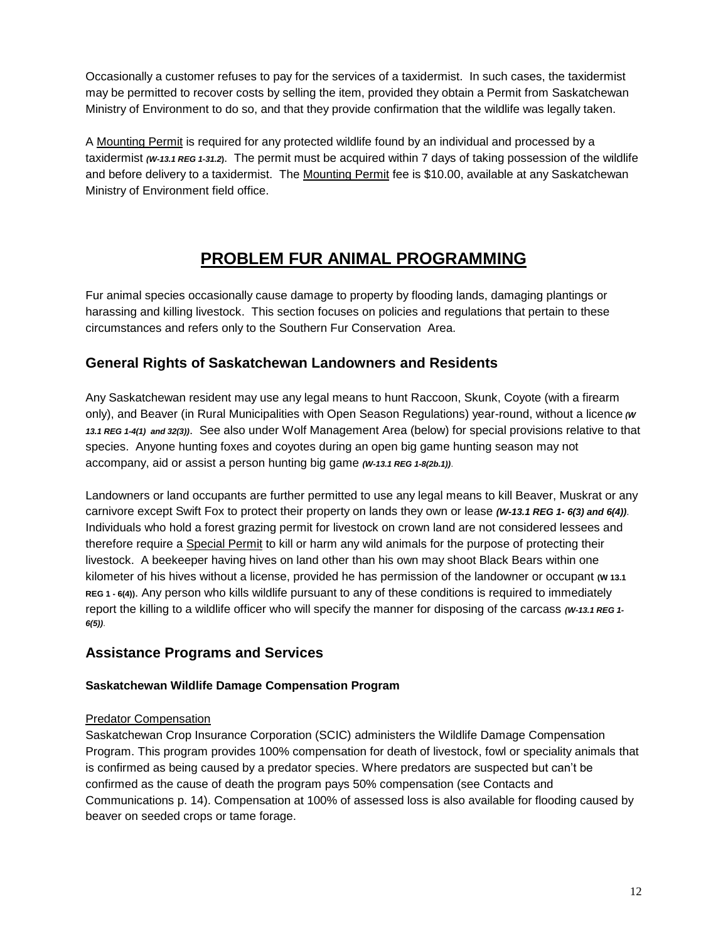Occasionally a customer refuses to pay for the services of a taxidermist. In such cases, the taxidermist may be permitted to recover costs by selling the item, provided they obtain a Permit from Saskatchewan Ministry of Environment to do so, and that they provide confirmation that the wildlife was legally taken.

A Mounting Permit is required for any protected wildlife found by an individual and processed by a taxidermist *(W-13.1 REG 1-31.2***)**. The permit must be acquired within 7 days of taking possession of the wildlife and before delivery to a taxidermist. The Mounting Permit fee is \$10.00, available at any Saskatchewan Ministry of Environment field office.

# **PROBLEM FUR ANIMAL PROGRAMMING**

Fur animal species occasionally cause damage to property by flooding lands, damaging plantings or harassing and killing livestock. This section focuses on policies and regulations that pertain to these circumstances and refers only to the Southern Fur Conservation Area.

### **General Rights of Saskatchewan Landowners and Residents**

Any Saskatchewan resident may use any legal means to hunt Raccoon, Skunk, Coyote (with a firearm only), and Beaver (in Rural Municipalities with Open Season Regulations) year-round, without a licence *(W 13.1 REG 1-4(1) and 32(3))*. See also under Wolf Management Area (below) for special provisions relative to that species. Anyone hunting foxes and coyotes during an open big game hunting season may not accompany, aid or assist a person hunting big game *(W-13.1 REG 1-8(2b.1))*.

Landowners or land occupants are further permitted to use any legal means to kill Beaver, Muskrat or any carnivore except Swift Fox to protect their property on lands they own or lease *(W-13.1 REG 1- 6(3) and 6(4))*. Individuals who hold a forest grazing permit for livestock on crown land are not considered lessees and therefore require a Special Permit to kill or harm any wild animals for the purpose of protecting their livestock. A beekeeper having hives on land other than his own may shoot Black Bears within one kilometer of his hives without a license, provided he has permission of the landowner or occupant **(W 13.1 REG 1 - 6(4))**. Any person who kills wildlife pursuant to any of these conditions is required to immediately report the killing to a wildlife officer who will specify the manner for disposing of the carcass *(W-13.1 REG 1- 6(5))*.

### **Assistance Programs and Services**

### **Saskatchewan Wildlife Damage Compensation Program**

#### Predator Compensation

Saskatchewan Crop Insurance Corporation (SCIC) administers the Wildlife Damage Compensation Program. This program provides 100% compensation for death of livestock, fowl or speciality animals that is confirmed as being caused by a predator species. Where predators are suspected but can't be confirmed as the cause of death the program pays 50% compensation (see Contacts and Communications p. 14). Compensation at 100% of assessed loss is also available for flooding caused by beaver on seeded crops or tame forage.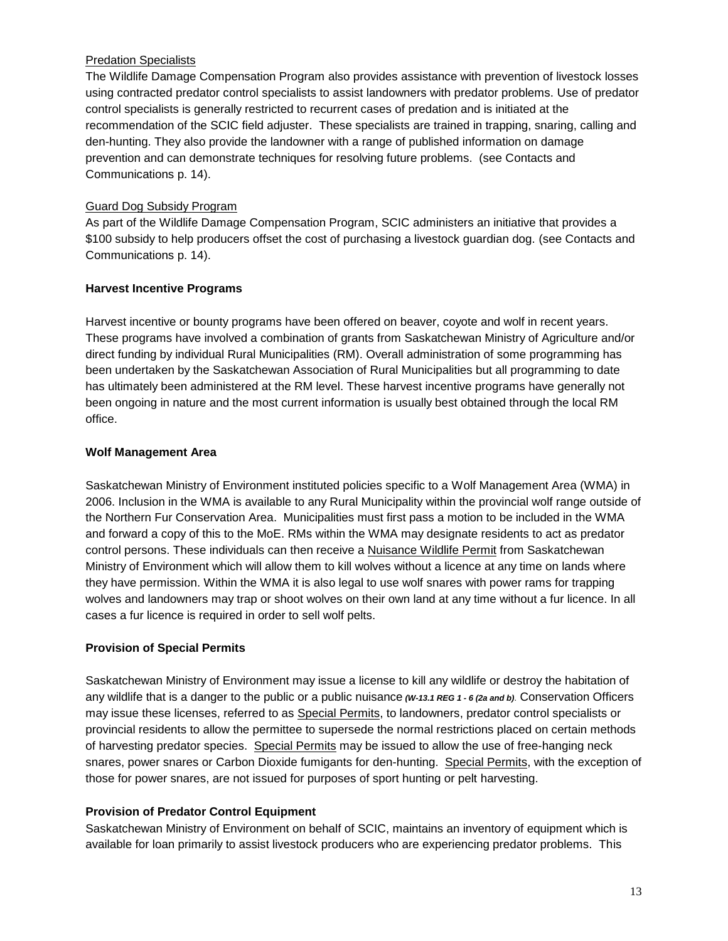### Predation Specialists

The Wildlife Damage Compensation Program also provides assistance with prevention of livestock losses using contracted predator control specialists to assist landowners with predator problems. Use of predator control specialists is generally restricted to recurrent cases of predation and is initiated at the recommendation of the SCIC field adjuster. These specialists are trained in trapping, snaring, calling and den-hunting. They also provide the landowner with a range of published information on damage prevention and can demonstrate techniques for resolving future problems. (see Contacts and Communications p. 14).

#### Guard Dog Subsidy Program

As part of the Wildlife Damage Compensation Program, SCIC administers an initiative that provides a \$100 subsidy to help producers offset the cost of purchasing a livestock guardian dog. (see Contacts and Communications p. 14).

### **Harvest Incentive Programs**

Harvest incentive or bounty programs have been offered on beaver, coyote and wolf in recent years. These programs have involved a combination of grants from Saskatchewan Ministry of Agriculture and/or direct funding by individual Rural Municipalities (RM). Overall administration of some programming has been undertaken by the Saskatchewan Association of Rural Municipalities but all programming to date has ultimately been administered at the RM level. These harvest incentive programs have generally not been ongoing in nature and the most current information is usually best obtained through the local RM office.

#### **Wolf Management Area**

Saskatchewan Ministry of Environment instituted policies specific to a Wolf Management Area (WMA) in 2006. Inclusion in the WMA is available to any Rural Municipality within the provincial wolf range outside of the Northern Fur Conservation Area. Municipalities must first pass a motion to be included in the WMA and forward a copy of this to the MoE. RMs within the WMA may designate residents to act as predator control persons. These individuals can then receive a Nuisance Wildlife Permit from Saskatchewan Ministry of Environment which will allow them to kill wolves without a licence at any time on lands where they have permission. Within the WMA it is also legal to use wolf snares with power rams for trapping wolves and landowners may trap or shoot wolves on their own land at any time without a fur licence. In all cases a fur licence is required in order to sell wolf pelts.

#### **Provision of Special Permits**

Saskatchewan Ministry of Environment may issue a license to kill any wildlife or destroy the habitation of any wildlife that is a danger to the public or a public nuisance *(W-13.1 REG 1 - 6 (2a and b)*. Conservation Officers may issue these licenses, referred to as Special Permits, to landowners, predator control specialists or provincial residents to allow the permittee to supersede the normal restrictions placed on certain methods of harvesting predator species. Special Permits may be issued to allow the use of free-hanging neck snares, power snares or Carbon Dioxide fumigants for den-hunting. Special Permits, with the exception of those for power snares, are not issued for purposes of sport hunting or pelt harvesting.

#### **Provision of Predator Control Equipment**

Saskatchewan Ministry of Environment on behalf of SCIC, maintains an inventory of equipment which is available for loan primarily to assist livestock producers who are experiencing predator problems. This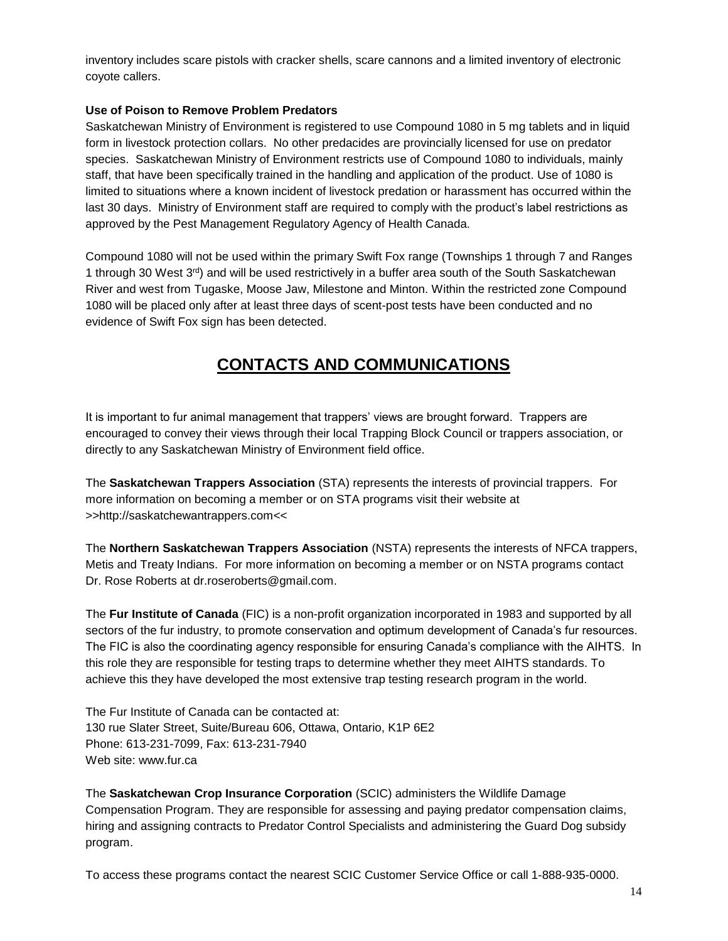inventory includes scare pistols with cracker shells, scare cannons and a limited inventory of electronic coyote callers.

#### **Use of Poison to Remove Problem Predators**

Saskatchewan Ministry of Environment is registered to use Compound 1080 in 5 mg tablets and in liquid form in livestock protection collars. No other predacides are provincially licensed for use on predator species. Saskatchewan Ministry of Environment restricts use of Compound 1080 to individuals, mainly staff, that have been specifically trained in the handling and application of the product. Use of 1080 is limited to situations where a known incident of livestock predation or harassment has occurred within the last 30 days. Ministry of Environment staff are required to comply with the product's label restrictions as approved by the Pest Management Regulatory Agency of Health Canada.

Compound 1080 will not be used within the primary Swift Fox range (Townships 1 through 7 and Ranges 1 through 30 West  $3<sup>rd</sup>$  and will be used restrictively in a buffer area south of the South Saskatchewan River and west from Tugaske, Moose Jaw, Milestone and Minton. Within the restricted zone Compound 1080 will be placed only after at least three days of scent-post tests have been conducted and no evidence of Swift Fox sign has been detected.

# **CONTACTS AND COMMUNICATIONS**

It is important to fur animal management that trappers' views are brought forward. Trappers are encouraged to convey their views through their local Trapping Block Council or trappers association, or directly to any Saskatchewan Ministry of Environment field office.

The **Saskatchewan Trappers Association** (STA) represents the interests of provincial trappers. For more information on becoming a member or on STA programs visit their website at >>http:/[/saskatchewantrappers.com<](http://saskatchewantrappers.com/)<

The **Northern Saskatchewan Trappers Association** (NSTA) represents the interests of NFCA trappers, Metis and Treaty Indians. For more information on becoming a member or on NSTA programs contact Dr. Rose Roberts at [dr.roseroberts@gmail.com.](mailto:dr.roseroberts@gmail.com)

The **Fur Institute of Canada** (FIC) is a non-profit organization incorporated in 1983 and supported by all sectors of the fur industry, to promote conservation and optimum development of Canada's fur resources. The FIC is also the coordinating agency responsible for ensuring Canada's compliance with the AIHTS. In this role they are responsible for testing traps to determine whether they meet AIHTS standards. To achieve this they have developed the most extensive trap testing research program in the world.

The Fur Institute of Canada can be contacted at: 130 rue Slater Street, Suite/Bureau 606, Ottawa, Ontario, K1P 6E2 Phone: 613-231-7099, Fax: 613-231-7940 Web site: ww[w.fur.](http://www.fur.ca/)ca

The **Saskatchewan Crop Insurance Corporation** (SCIC) administers the Wildlife Damage Compensation Program. They are responsible for assessing and paying predator compensation claims, hiring and assigning contracts to Predator Control Specialists and administering the Guard Dog subsidy program.

To access these programs contact the nearest SCIC Customer Service Office or call 1-888-935-0000.